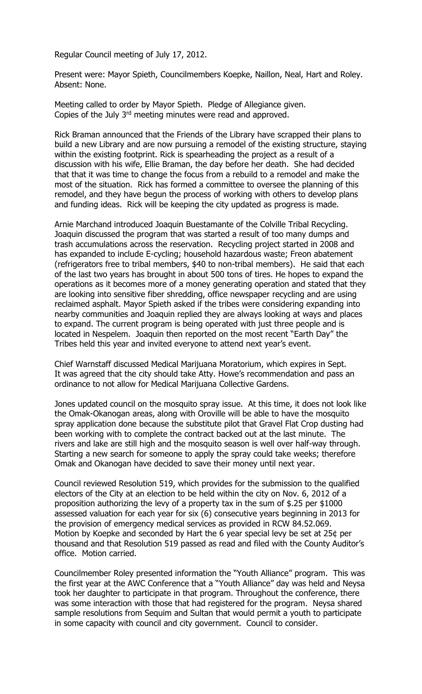Regular Council meeting of July 17, 2012.

Present were: Mayor Spieth, Councilmembers Koepke, Naillon, Neal, Hart and Roley. Absent: None.

Meeting called to order by Mayor Spieth. Pledge of Allegiance given. Copies of the July 3rd meeting minutes were read and approved.

Rick Braman announced that the Friends of the Library have scrapped their plans to build a new Library and are now pursuing a remodel of the existing structure, staying within the existing footprint. Rick is spearheading the project as a result of a discussion with his wife, Ellie Braman, the day before her death. She had decided that that it was time to change the focus from a rebuild to a remodel and make the most of the situation. Rick has formed a committee to oversee the planning of this remodel, and they have begun the process of working with others to develop plans and funding ideas. Rick will be keeping the city updated as progress is made.

Arnie Marchand introduced Joaquin Buestamante of the Colville Tribal Recycling. Joaquin discussed the program that was started a result of too many dumps and trash accumulations across the reservation. Recycling project started in 2008 and has expanded to include E-cycling; household hazardous waste; Freon abatement (refrigerators free to tribal members, \$40 to non-tribal members). He said that each of the last two years has brought in about 500 tons of tires. He hopes to expand the operations as it becomes more of a money generating operation and stated that they are looking into sensitive fiber shredding, office newspaper recycling and are using reclaimed asphalt. Mayor Spieth asked if the tribes were considering expanding into nearby communities and Joaquin replied they are always looking at ways and places to expand. The current program is being operated with just three people and is located in Nespelem. Joaquin then reported on the most recent "Earth Day" the Tribes held this year and invited everyone to attend next year's event.

Chief Warnstaff discussed Medical Marijuana Moratorium, which expires in Sept. It was agreed that the city should take Atty. Howe's recommendation and pass an ordinance to not allow for Medical Marijuana Collective Gardens.

Jones updated council on the mosquito spray issue. At this time, it does not look like the Omak-Okanogan areas, along with Oroville will be able to have the mosquito spray application done because the substitute pilot that Gravel Flat Crop dusting had been working with to complete the contract backed out at the last minute. The rivers and lake are still high and the mosquito season is well over half-way through. Starting a new search for someone to apply the spray could take weeks; therefore Omak and Okanogan have decided to save their money until next year.

Council reviewed Resolution 519, which provides for the submission to the qualified electors of the City at an election to be held within the city on Nov. 6, 2012 of a proposition authorizing the levy of a property tax in the sum of \$.25 per \$1000 assessed valuation for each year for six (6) consecutive years beginning in 2013 for the provision of emergency medical services as provided in RCW 84.52.069. Motion by Koepke and seconded by Hart the 6 year special levy be set at 25¢ per thousand and that Resolution 519 passed as read and filed with the County Auditor's office. Motion carried.

Councilmember Roley presented information the "Youth Alliance" program. This was the first year at the AWC Conference that a "Youth Alliance" day was held and Neysa took her daughter to participate in that program. Throughout the conference, there was some interaction with those that had registered for the program. Neysa shared sample resolutions from Sequim and Sultan that would permit a youth to participate in some capacity with council and city government. Council to consider.